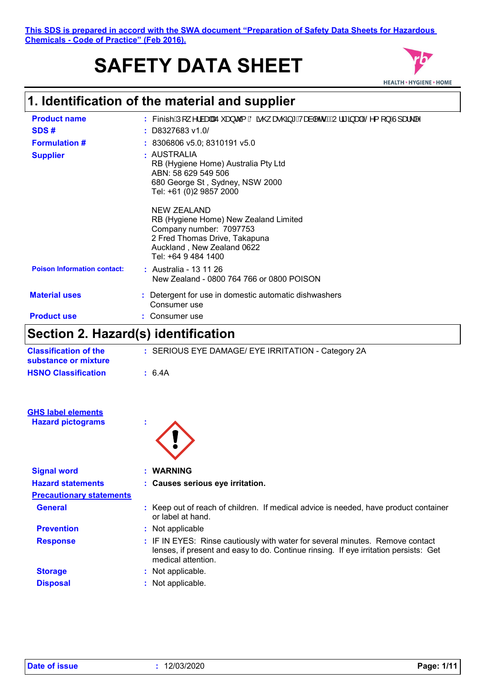**This SDS is prepared in accord with the SWA document "Preparation of Safety Data Sheets for Hazardous Chemicals - Code of Practice" (Feb 2016).**

# **SAFETY DATA SHEET**



## **1. Identification of the material and supplier**

| <b>Product name</b><br>SDS#<br><b>Formulation #</b><br><b>Supplier</b> | : FinishÁlj ^¦àæ∥ÁĴ `æ}č{ ÁÖã @ æ @ã*Á/æà ^or ÁBÁJ¦ãã æ}ÉÊ^{ [}ÁJ]æ\ ^<br>$:$ D8327683 v1.0S<br>: 8306806 v5.0; 8310191 v5.0<br>: AUSTRALIA<br>RB (Hygiene Home) Australia Pty Ltd<br>ABN: 58 629 549 506<br>680 George St, Sydney, NSW 2000<br>Tel: +61 (0)2 9857 2000 |
|------------------------------------------------------------------------|-------------------------------------------------------------------------------------------------------------------------------------------------------------------------------------------------------------------------------------------------------------------------|
|                                                                        | <b>NEW ZEALAND</b><br>RB (Hygiene Home) New Zealand Limited<br>Company number: 7097753<br>2 Fred Thomas Drive, Takapuna<br>Auckland, New Zealand 0622<br>Tel: +64 9 484 1400                                                                                            |
| <b>Poison Information contact:</b>                                     | : Australia - 13 11 26<br>New Zealand - 0800 764 766 or 0800 POISON                                                                                                                                                                                                     |
| <b>Material uses</b>                                                   | : Detergent for use in domestic automatic dishwashers<br>Consumer use                                                                                                                                                                                                   |
| <b>Product use</b>                                                     | Consumer use                                                                                                                                                                                                                                                            |

## **Section 2. Hazard(s) identification**

| <b>Classification of the</b><br>substance or mixture | : SERIOUS EYE DAMAGE/ EYE IRRITATION - Category 2A                                                                                                                                          |
|------------------------------------------------------|---------------------------------------------------------------------------------------------------------------------------------------------------------------------------------------------|
| <b>HSNO Classification</b>                           | : 6.4A                                                                                                                                                                                      |
| <b>GHS label elements</b>                            |                                                                                                                                                                                             |
| <b>Hazard pictograms</b>                             |                                                                                                                                                                                             |
|                                                      |                                                                                                                                                                                             |
| <b>Signal word</b>                                   | : WARNING                                                                                                                                                                                   |
| <b>Hazard statements</b>                             | : Causes serious eye irritation.                                                                                                                                                            |
| <b>Precautionary statements</b>                      |                                                                                                                                                                                             |
| <b>General</b>                                       | : Keep out of reach of children. If medical advice is needed, have product container<br>or label at hand.                                                                                   |
| <b>Prevention</b>                                    | : Not applicable                                                                                                                                                                            |
| <b>Response</b>                                      | : IF IN EYES: Rinse cautiously with water for several minutes. Remove contact<br>lenses, if present and easy to do. Continue rinsing. If eye irritation persists: Get<br>medical attention. |
| <b>Storage</b>                                       | : Not applicable.                                                                                                                                                                           |
| <b>Disposal</b>                                      | : Not applicable.                                                                                                                                                                           |
|                                                      |                                                                                                                                                                                             |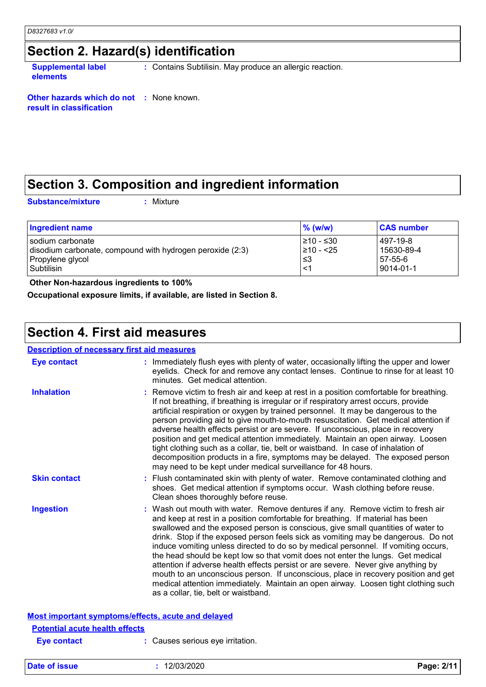### **Section 2. Hazard(s) identification**

**Supplemental label elements**

**:** Contains Subtilisin. May produce an allergic reaction.

**Other hazards which do not :** None known. **result in classification**

## **Section 3. Composition and ingredient information**

**Substance/mixture :**

: Mixture

| Ingredient name                                           | $\%$ (w/w) | <b>CAS number</b> |
|-----------------------------------------------------------|------------|-------------------|
| I sodium carbonate                                        | l≥10 - ≤30 | 497-19-8          |
| disodium carbonate, compound with hydrogen peroxide (2:3) | l≥10 - <25 | 15630-89-4        |
| Propylene glycol                                          | צ≥         | 57-55-6           |
| Subtilisin                                                | <1         | 9014-01-1         |

 **Other Non-hazardous ingredients to 100%**

**Occupational exposure limits, if available, are listed in Section 8.**

### **Section 4. First aid measures**

#### **Description of necessary first aid measures**

| <b>Eye contact</b>                                 | : Immediately flush eyes with plenty of water, occasionally lifting the upper and lower<br>eyelids. Check for and remove any contact lenses. Continue to rinse for at least 10<br>minutes. Get medical attention.                                                                                                                                                                                                                                                                                                                                                                                                                                                                                                                                                                                                            |
|----------------------------------------------------|------------------------------------------------------------------------------------------------------------------------------------------------------------------------------------------------------------------------------------------------------------------------------------------------------------------------------------------------------------------------------------------------------------------------------------------------------------------------------------------------------------------------------------------------------------------------------------------------------------------------------------------------------------------------------------------------------------------------------------------------------------------------------------------------------------------------------|
| <b>Inhalation</b>                                  | : Remove victim to fresh air and keep at rest in a position comfortable for breathing.<br>If not breathing, if breathing is irregular or if respiratory arrest occurs, provide<br>artificial respiration or oxygen by trained personnel. It may be dangerous to the<br>person providing aid to give mouth-to-mouth resuscitation. Get medical attention if<br>adverse health effects persist or are severe. If unconscious, place in recovery<br>position and get medical attention immediately. Maintain an open airway. Loosen<br>tight clothing such as a collar, tie, belt or waistband. In case of inhalation of<br>decomposition products in a fire, symptoms may be delayed. The exposed person<br>may need to be kept under medical surveillance for 48 hours.                                                       |
| <b>Skin contact</b>                                | : Flush contaminated skin with plenty of water. Remove contaminated clothing and<br>shoes. Get medical attention if symptoms occur. Wash clothing before reuse.<br>Clean shoes thoroughly before reuse.                                                                                                                                                                                                                                                                                                                                                                                                                                                                                                                                                                                                                      |
| <b>Ingestion</b>                                   | : Wash out mouth with water. Remove dentures if any. Remove victim to fresh air<br>and keep at rest in a position comfortable for breathing. If material has been<br>swallowed and the exposed person is conscious, give small quantities of water to<br>drink. Stop if the exposed person feels sick as vomiting may be dangerous. Do not<br>induce vomiting unless directed to do so by medical personnel. If vomiting occurs,<br>the head should be kept low so that vomit does not enter the lungs. Get medical<br>attention if adverse health effects persist or are severe. Never give anything by<br>mouth to an unconscious person. If unconscious, place in recovery position and get<br>medical attention immediately. Maintain an open airway. Loosen tight clothing such<br>as a collar, tie, belt or waistband. |
| Most important symptoms/effects, acute and delayed |                                                                                                                                                                                                                                                                                                                                                                                                                                                                                                                                                                                                                                                                                                                                                                                                                              |
| <b>Potential acute health effects</b>              |                                                                                                                                                                                                                                                                                                                                                                                                                                                                                                                                                                                                                                                                                                                                                                                                                              |
| <b>Eve contact</b>                                 | Causes serious eve irritation.                                                                                                                                                                                                                                                                                                                                                                                                                                                                                                                                                                                                                                                                                                                                                                                               |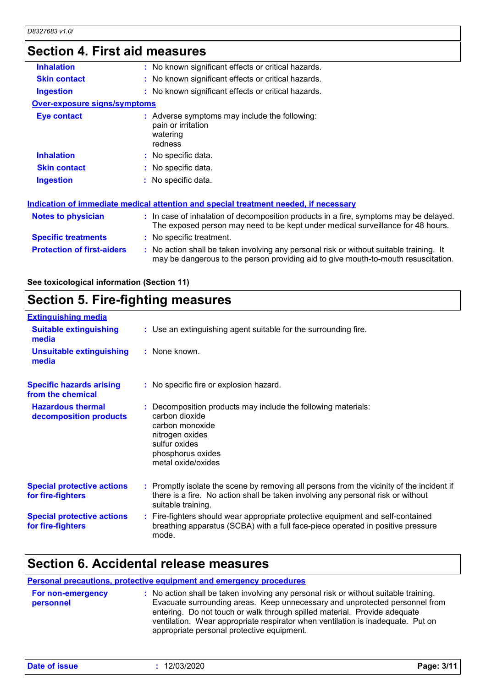## **Section 4. First aid measures**

| <b>Inhalation</b>                   | : No known significant effects or critical hazards.                                                                                                                           |
|-------------------------------------|-------------------------------------------------------------------------------------------------------------------------------------------------------------------------------|
| <b>Skin contact</b>                 | : No known significant effects or critical hazards.                                                                                                                           |
| <b>Ingestion</b>                    | : No known significant effects or critical hazards.                                                                                                                           |
| <b>Over-exposure signs/symptoms</b> |                                                                                                                                                                               |
| <b>Eye contact</b>                  | : Adverse symptoms may include the following:<br>pain or irritation<br>watering<br>redness                                                                                    |
| <b>Inhalation</b>                   | : No specific data.                                                                                                                                                           |
| <b>Skin contact</b>                 | : No specific data.                                                                                                                                                           |
| <b>Ingestion</b>                    | : No specific data.                                                                                                                                                           |
|                                     | Indication of immediate medical attention and special treatment needed, if necessary                                                                                          |
| <b>Notes to physician</b>           | : In case of inhalation of decomposition products in a fire, symptoms may be delayed.<br>The exposed person may need to be kept under medical surveillance for 48 hours.      |
| <b>Specific treatments</b>          | : No specific treatment.                                                                                                                                                      |
| <b>Protection of first-aiders</b>   | : No action shall be taken involving any personal risk or without suitable training. It<br>may be dangerous to the person providing aid to give mouth-to-mouth resuscitation. |
|                                     |                                                                                                                                                                               |

#### **See toxicological information (Section 11)**

### **Section 5. Fire-fighting measures**

| <b>Extinguishing media</b>                             |                                                                                                                                                                                                     |
|--------------------------------------------------------|-----------------------------------------------------------------------------------------------------------------------------------------------------------------------------------------------------|
| <b>Suitable extinguishing</b><br>media                 | : Use an extinguishing agent suitable for the surrounding fire.                                                                                                                                     |
| <b>Unsuitable extinguishing</b><br>media               | : None known.                                                                                                                                                                                       |
| <b>Specific hazards arising</b><br>from the chemical   | : No specific fire or explosion hazard.                                                                                                                                                             |
| <b>Hazardous thermal</b><br>decomposition products     | : Decomposition products may include the following materials:<br>carbon dioxide<br>carbon monoxide<br>nitrogen oxides<br>sulfur oxides<br>phosphorus oxides<br>metal oxide/oxides                   |
| <b>Special protective actions</b><br>for fire-fighters | : Promptly isolate the scene by removing all persons from the vicinity of the incident if<br>there is a fire. No action shall be taken involving any personal risk or without<br>suitable training. |
| <b>Special protective actions</b><br>for fire-fighters | : Fire-fighters should wear appropriate protective equipment and self-contained<br>breathing apparatus (SCBA) with a full face-piece operated in positive pressure<br>mode.                         |

### **Section 6. Accidental release measures**

### **Personal precautions, protective equipment and emergency procedures**

| <b>For non-emergency</b><br>personnel | : No action shall be taken involving any personal risk or without suitable training.<br>Evacuate surrounding areas. Keep unnecessary and unprotected personnel from<br>entering. Do not touch or walk through spilled material. Provide adequate<br>ventilation. Wear appropriate respirator when ventilation is inadequate. Put on |
|---------------------------------------|-------------------------------------------------------------------------------------------------------------------------------------------------------------------------------------------------------------------------------------------------------------------------------------------------------------------------------------|
|                                       | appropriate personal protective equipment.                                                                                                                                                                                                                                                                                          |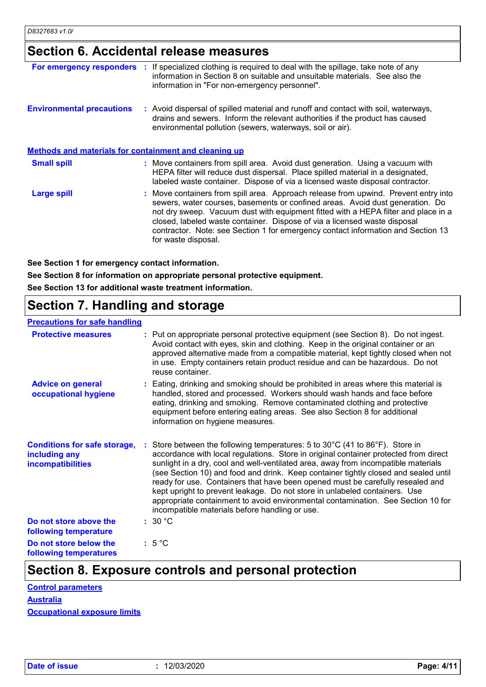## **Section 6. Accidental release measures**

| For emergency responders                                     | If specialized clothing is required to deal with the spillage, take note of any<br>information in Section 8 on suitable and unsuitable materials. See also the<br>information in "For non-emergency personnel".                                                                                                                                                                                                                                    |
|--------------------------------------------------------------|----------------------------------------------------------------------------------------------------------------------------------------------------------------------------------------------------------------------------------------------------------------------------------------------------------------------------------------------------------------------------------------------------------------------------------------------------|
| <b>Environmental precautions</b>                             | : Avoid dispersal of spilled material and runoff and contact with soil, waterways,<br>drains and sewers. Inform the relevant authorities if the product has caused<br>environmental pollution (sewers, waterways, soil or air).                                                                                                                                                                                                                    |
| <b>Methods and materials for containment and cleaning up</b> |                                                                                                                                                                                                                                                                                                                                                                                                                                                    |
| <b>Small spill</b>                                           | : Move containers from spill area. Avoid dust generation. Using a vacuum with<br>HEPA filter will reduce dust dispersal. Place spilled material in a designated,<br>labeled waste container. Dispose of via a licensed waste disposal contractor.                                                                                                                                                                                                  |
| Large spill                                                  | : Move containers from spill area. Approach release from upwind. Prevent entry into<br>sewers, water courses, basements or confined areas. Avoid dust generation. Do<br>not dry sweep. Vacuum dust with equipment fitted with a HEPA filter and place in a<br>closed, labeled waste container. Dispose of via a licensed waste disposal<br>contractor. Note: see Section 1 for emergency contact information and Section 13<br>for waste disposal. |

**See Section 1 for emergency contact information.**

**See Section 8 for information on appropriate personal protective equipment.**

**See Section 13 for additional waste treatment information.**

## **Section 7. Handling and storage**

#### **Precautions for safe handling**

| <b>Protective measures</b>                                                       | : Put on appropriate personal protective equipment (see Section 8). Do not ingest.<br>Avoid contact with eyes, skin and clothing. Keep in the original container or an<br>approved alternative made from a compatible material, kept tightly closed when not<br>in use. Empty containers retain product residue and can be hazardous. Do not<br>reuse container.                                                                                                                                                                                                                                                                                      |
|----------------------------------------------------------------------------------|-------------------------------------------------------------------------------------------------------------------------------------------------------------------------------------------------------------------------------------------------------------------------------------------------------------------------------------------------------------------------------------------------------------------------------------------------------------------------------------------------------------------------------------------------------------------------------------------------------------------------------------------------------|
| <b>Advice on general</b><br>occupational hygiene                                 | : Eating, drinking and smoking should be prohibited in areas where this material is<br>handled, stored and processed. Workers should wash hands and face before<br>eating, drinking and smoking. Remove contaminated clothing and protective<br>equipment before entering eating areas. See also Section 8 for additional<br>information on hygiene measures.                                                                                                                                                                                                                                                                                         |
| <b>Conditions for safe storage,</b><br>including any<br><b>incompatibilities</b> | Store between the following temperatures: 5 to 30°C (41 to 86°F). Store in<br>accordance with local regulations. Store in original container protected from direct<br>sunlight in a dry, cool and well-ventilated area, away from incompatible materials<br>(see Section 10) and food and drink. Keep container tightly closed and sealed until<br>ready for use. Containers that have been opened must be carefully resealed and<br>kept upright to prevent leakage. Do not store in unlabeled containers. Use<br>appropriate containment to avoid environmental contamination. See Section 10 for<br>incompatible materials before handling or use. |
| Do not store above the<br>following temperature                                  | :30 °C                                                                                                                                                                                                                                                                                                                                                                                                                                                                                                                                                                                                                                                |
| Do not store below the<br>following temperatures                                 | $:5^{\circ}C$                                                                                                                                                                                                                                                                                                                                                                                                                                                                                                                                                                                                                                         |

## **Section 8. Exposure controls and personal protection**

| <b>Control parameters</b>           |
|-------------------------------------|
| <b>Australia</b>                    |
| <b>Occupational exposure limits</b> |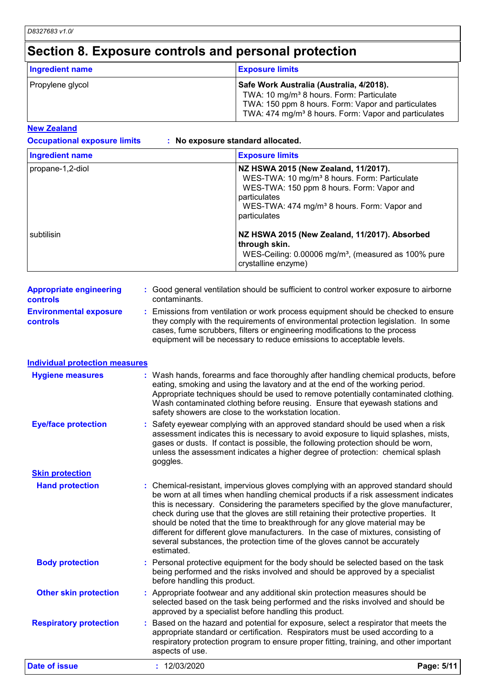## **Section 8. Exposure controls and personal protection**

| <b>Ingredient name</b> | <b>Exposure limits</b>                                                                                                                                                                                                     |
|------------------------|----------------------------------------------------------------------------------------------------------------------------------------------------------------------------------------------------------------------------|
| Propylene glycol       | Safe Work Australia (Australia, 4/2018).<br>TWA: 10 mg/m <sup>3</sup> 8 hours. Form: Particulate<br>TWA: 150 ppm 8 hours. Form: Vapor and particulates<br>TWA: 474 mg/m <sup>3</sup> 8 hours. Form: Vapor and particulates |

#### **New Zealand**

**Occupational exposure limits : No exposure standard allocated.**

| <b>Ingredient name</b> | <b>Exposure limits</b>                                                                                                                                                                                                                   |
|------------------------|------------------------------------------------------------------------------------------------------------------------------------------------------------------------------------------------------------------------------------------|
| propane-1,2-diol       | NZ HSWA 2015 (New Zealand, 11/2017).<br>WES-TWA: 10 mg/m <sup>3</sup> 8 hours. Form: Particulate<br>WES-TWA: 150 ppm 8 hours. Form: Vapor and<br>particulates<br>WES-TWA: 474 mg/m <sup>3</sup> 8 hours. Form: Vapor and<br>particulates |
| subtilisin             | NZ HSWA 2015 (New Zealand, 11/2017). Absorbed<br>through skin.<br>WES-Ceiling: 0.00006 mg/m <sup>3</sup> , (measured as 100% pure<br>crystalline enzyme)                                                                                 |

| <b>Appropriate engineering</b><br><b>controls</b> | : Good general ventilation should be sufficient to control worker exposure to airborne<br>contaminants.                                                                                                                                                                                                                         |
|---------------------------------------------------|---------------------------------------------------------------------------------------------------------------------------------------------------------------------------------------------------------------------------------------------------------------------------------------------------------------------------------|
| <b>Environmental exposure</b><br><b>controls</b>  | : Emissions from ventilation or work process equipment should be checked to ensure<br>they comply with the requirements of environmental protection legislation. In some<br>cases, fume scrubbers, filters or engineering modifications to the process<br>equipment will be necessary to reduce emissions to acceptable levels. |

#### **Individual protection measures**

| <b>Hygiene measures</b>       | : Wash hands, forearms and face thoroughly after handling chemical products, before<br>eating, smoking and using the lavatory and at the end of the working period.<br>Appropriate techniques should be used to remove potentially contaminated clothing.<br>Wash contaminated clothing before reusing. Ensure that eyewash stations and<br>safety showers are close to the workstation location.                                                                                                                                                                                                                         |            |
|-------------------------------|---------------------------------------------------------------------------------------------------------------------------------------------------------------------------------------------------------------------------------------------------------------------------------------------------------------------------------------------------------------------------------------------------------------------------------------------------------------------------------------------------------------------------------------------------------------------------------------------------------------------------|------------|
| <b>Eye/face protection</b>    | Safety eyewear complying with an approved standard should be used when a risk<br>assessment indicates this is necessary to avoid exposure to liquid splashes, mists,<br>gases or dusts. If contact is possible, the following protection should be worn,<br>unless the assessment indicates a higher degree of protection: chemical splash<br>goggles.                                                                                                                                                                                                                                                                    |            |
| <b>Skin protection</b>        |                                                                                                                                                                                                                                                                                                                                                                                                                                                                                                                                                                                                                           |            |
| <b>Hand protection</b>        | : Chemical-resistant, impervious gloves complying with an approved standard should<br>be worn at all times when handling chemical products if a risk assessment indicates<br>this is necessary. Considering the parameters specified by the glove manufacturer,<br>check during use that the gloves are still retaining their protective properties. It<br>should be noted that the time to breakthrough for any glove material may be<br>different for different glove manufacturers. In the case of mixtures, consisting of<br>several substances, the protection time of the gloves cannot be accurately<br>estimated. |            |
| <b>Body protection</b>        | : Personal protective equipment for the body should be selected based on the task<br>being performed and the risks involved and should be approved by a specialist<br>before handling this product.                                                                                                                                                                                                                                                                                                                                                                                                                       |            |
| <b>Other skin protection</b>  | : Appropriate footwear and any additional skin protection measures should be<br>selected based on the task being performed and the risks involved and should be<br>approved by a specialist before handling this product.                                                                                                                                                                                                                                                                                                                                                                                                 |            |
| <b>Respiratory protection</b> | Based on the hazard and potential for exposure, select a respirator that meets the<br>appropriate standard or certification. Respirators must be used according to a<br>respiratory protection program to ensure proper fitting, training, and other important<br>aspects of use.                                                                                                                                                                                                                                                                                                                                         |            |
| <b>Date of issue</b>          | : 12/03/2020                                                                                                                                                                                                                                                                                                                                                                                                                                                                                                                                                                                                              | Page: 5/11 |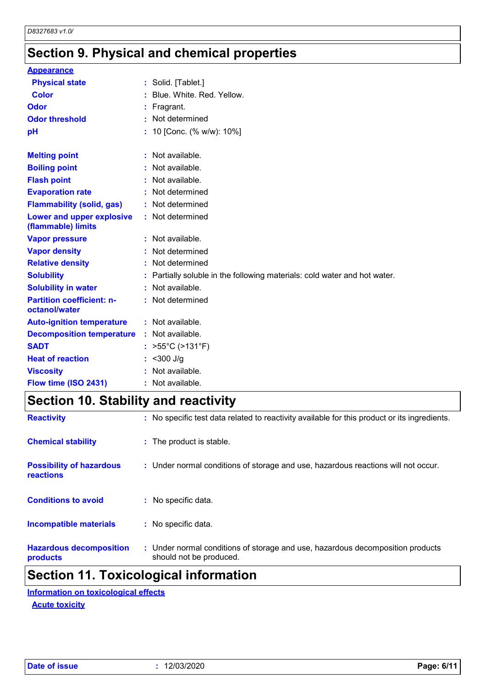## **Section 9. Physical and chemical properties**

| <b>Appearance</b>                                 |                                                                         |
|---------------------------------------------------|-------------------------------------------------------------------------|
| <b>Physical state</b>                             | : Solid. [Tablet.]                                                      |
| <b>Color</b>                                      | Blue, White, Red, Yellow.                                               |
| Odor                                              | Fragrant.                                                               |
| <b>Odor threshold</b>                             | Not determined                                                          |
| pH                                                | 10 [Conc. (% w/w): 10%]                                                 |
| <b>Melting point</b>                              | : Not available.                                                        |
| <b>Boiling point</b>                              | : Not available.                                                        |
| <b>Flash point</b>                                | Not available.                                                          |
| <b>Evaporation rate</b>                           | : Not determined                                                        |
| <b>Flammability (solid, gas)</b>                  | : Not determined                                                        |
| Lower and upper explosive<br>(flammable) limits   | : Not determined                                                        |
| <b>Vapor pressure</b>                             | : Not available.                                                        |
| <b>Vapor density</b>                              | : Not determined                                                        |
| <b>Relative density</b>                           | : Not determined                                                        |
| <b>Solubility</b>                                 | Partially soluble in the following materials: cold water and hot water. |
| <b>Solubility in water</b>                        | : Not available.                                                        |
| <b>Partition coefficient: n-</b><br>octanol/water | : Not determined                                                        |
| <b>Auto-ignition temperature</b>                  | : Not available.                                                        |
| <b>Decomposition temperature</b>                  | : Not available.                                                        |
| <b>SADT</b>                                       | : $>55^{\circ}$ C (>131 $^{\circ}$ F)                                   |
| <b>Heat of reaction</b>                           | $<$ 300 J/g                                                             |
| <b>Viscosity</b>                                  | Not available.                                                          |
| Flow time (ISO 2431)                              |                                                                         |

**Section 10. Stability and reactivity**

|                                              | .                                                                                                         |
|----------------------------------------------|-----------------------------------------------------------------------------------------------------------|
| <b>Hazardous decomposition</b><br>products   | : Under normal conditions of storage and use, hazardous decomposition products<br>should not be produced. |
| <b>Incompatible materials</b>                | : No specific data.                                                                                       |
| <b>Conditions to avoid</b>                   | : No specific data.                                                                                       |
| <b>Possibility of hazardous</b><br>reactions | : Under normal conditions of storage and use, hazardous reactions will not occur.                         |
| <b>Chemical stability</b>                    | : The product is stable.                                                                                  |
| <b>Reactivity</b>                            | : No specific test data related to reactivity available for this product or its ingredients.              |

### **Section 11. Toxicological information**

**Acute toxicity Information on toxicological effects**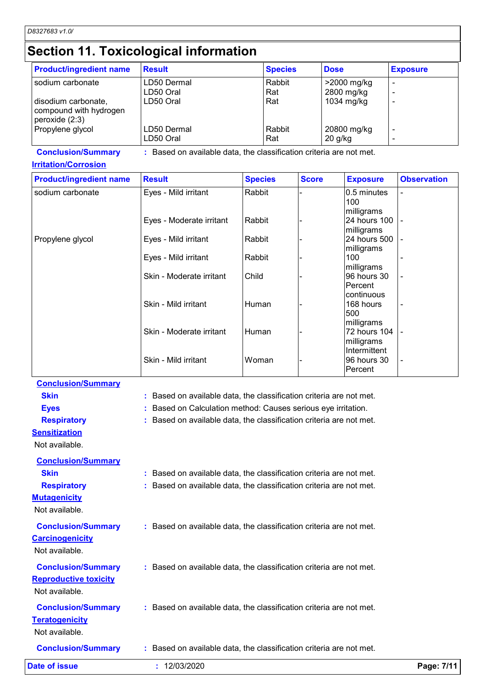## **Section 11. Toxicological information**

| <b>Product/ingredient name</b>     | <b>Result</b>                                                       |                | <b>Species</b> |              | <b>Dose</b> |                            | <b>Exposure</b>    |
|------------------------------------|---------------------------------------------------------------------|----------------|----------------|--------------|-------------|----------------------------|--------------------|
| sodium carbonate                   | LD50 Dermal                                                         |                | Rabbit         |              |             | >2000 mg/kg                |                    |
|                                    | LD50 Oral                                                           |                | Rat            |              |             | 2800 mg/kg                 |                    |
| disodium carbonate,                | LD50 Oral                                                           |                | Rat            |              |             | 1034 mg/kg                 |                    |
| compound with hydrogen             |                                                                     |                |                |              |             |                            |                    |
| peroxide (2:3)<br>Propylene glycol | LD50 Dermal                                                         |                | Rabbit         |              |             | 20800 mg/kg                |                    |
|                                    | LD50 Oral                                                           |                | Rat            |              | 20 g/kg     |                            |                    |
| <b>Conclusion/Summary</b>          | : Based on available data, the classification criteria are not met. |                |                |              |             |                            |                    |
| <b>Irritation/Corrosion</b>        |                                                                     |                |                |              |             |                            |                    |
| <b>Product/ingredient name</b>     | <b>Result</b>                                                       | <b>Species</b> |                | <b>Score</b> |             | <b>Exposure</b>            | <b>Observation</b> |
| sodium carbonate                   | Eyes - Mild irritant                                                | Rabbit         |                |              |             | 0.5 minutes                |                    |
|                                    |                                                                     |                |                |              |             | 100                        |                    |
|                                    |                                                                     |                |                |              |             | milligrams                 |                    |
|                                    | Eyes - Moderate irritant                                            | Rabbit         |                |              |             | 24 hours 100               |                    |
|                                    |                                                                     |                |                |              |             | milligrams                 |                    |
| Propylene glycol                   | Eyes - Mild irritant                                                | Rabbit         |                |              |             | 24 hours 500<br>milligrams |                    |
|                                    | Eyes - Mild irritant                                                | Rabbit         |                |              |             | 100                        |                    |
|                                    |                                                                     |                |                |              |             | milligrams                 |                    |
|                                    | Skin - Moderate irritant                                            | Child          |                |              |             | 96 hours 30                |                    |
|                                    |                                                                     |                |                |              |             | Percent                    |                    |
|                                    |                                                                     |                |                |              |             | continuous                 |                    |
|                                    | Skin - Mild irritant                                                | Human          |                |              |             | 168 hours                  |                    |
|                                    |                                                                     |                |                |              |             | 500                        |                    |
|                                    | Skin - Moderate irritant                                            | Human          |                |              |             | milligrams<br>72 hours 104 |                    |
|                                    |                                                                     |                |                |              |             | milligrams                 |                    |
|                                    |                                                                     |                |                |              |             | Intermittent               |                    |
|                                    | Skin - Mild irritant                                                | Woman          |                |              |             | 96 hours 30                |                    |
|                                    |                                                                     |                |                |              |             | Percent                    |                    |
| <b>Conclusion/Summary</b>          |                                                                     |                |                |              |             |                            |                    |
| <b>Skin</b>                        | : Based on available data, the classification criteria are not met. |                |                |              |             |                            |                    |
| <b>Eyes</b>                        | : Based on Calculation method: Causes serious eye irritation.       |                |                |              |             |                            |                    |
|                                    |                                                                     |                |                |              |             |                            |                    |
| <b>Respiratory</b>                 | : Based on available data, the classification criteria are not met. |                |                |              |             |                            |                    |
| <b>Sensitization</b>               |                                                                     |                |                |              |             |                            |                    |
| Not available.                     |                                                                     |                |                |              |             |                            |                    |
| <b>Conclusion/Summary</b>          |                                                                     |                |                |              |             |                            |                    |
| <b>Skin</b>                        | : Based on available data, the classification criteria are not met. |                |                |              |             |                            |                    |
| <b>Respiratory</b>                 | : Based on available data, the classification criteria are not met. |                |                |              |             |                            |                    |
|                                    |                                                                     |                |                |              |             |                            |                    |
| <b>Mutagenicity</b>                |                                                                     |                |                |              |             |                            |                    |
| Not available.                     |                                                                     |                |                |              |             |                            |                    |
| <b>Conclusion/Summary</b>          | : Based on available data, the classification criteria are not met. |                |                |              |             |                            |                    |
| <b>Carcinogenicity</b>             |                                                                     |                |                |              |             |                            |                    |
|                                    |                                                                     |                |                |              |             |                            |                    |
| Not available.                     |                                                                     |                |                |              |             |                            |                    |
| <b>Conclusion/Summary</b>          | : Based on available data, the classification criteria are not met. |                |                |              |             |                            |                    |
| <b>Reproductive toxicity</b>       |                                                                     |                |                |              |             |                            |                    |
| Not available.                     |                                                                     |                |                |              |             |                            |                    |
|                                    |                                                                     |                |                |              |             |                            |                    |
| <b>Conclusion/Summary</b>          | : Based on available data, the classification criteria are not met. |                |                |              |             |                            |                    |
| <b>Teratogenicity</b>              |                                                                     |                |                |              |             |                            |                    |
| Not available.                     |                                                                     |                |                |              |             |                            |                    |
|                                    |                                                                     |                |                |              |             |                            |                    |

**Conclusion/Summary :** Based on available data, the classification criteria are not met.

**Date of issue :** 12/03/2020 **Page: 7/11**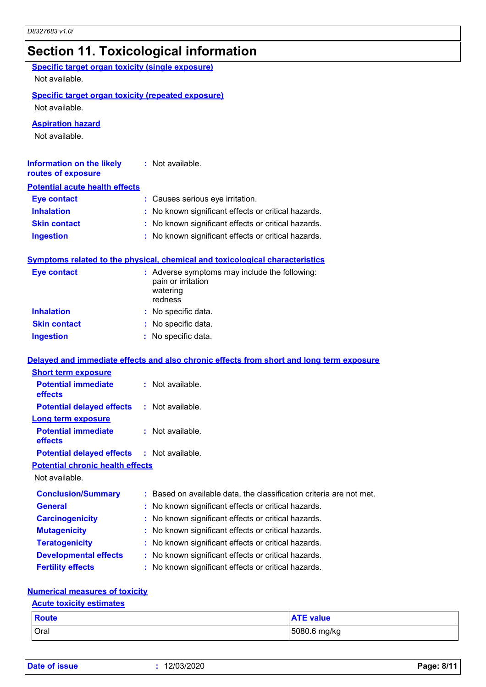### **Section 11. Toxicological information**

| Specific target organ toxicity (single exposure)<br>Not available.          |                                                                                            |
|-----------------------------------------------------------------------------|--------------------------------------------------------------------------------------------|
| <b>Specific target organ toxicity (repeated exposure)</b><br>Not available. |                                                                                            |
| <b>Aspiration hazard</b><br>Not available.                                  |                                                                                            |
| <b>Information on the likely</b><br>routes of exposure                      | $:$ Not available.                                                                         |
| <b>Potential acute health effects</b>                                       |                                                                                            |
| <b>Eye contact</b>                                                          | : Causes serious eye irritation.                                                           |
| <b>Inhalation</b>                                                           | : No known significant effects or critical hazards.                                        |
| <b>Skin contact</b>                                                         | : No known significant effects or critical hazards.                                        |
| <b>Ingestion</b>                                                            | : No known significant effects or critical hazards.                                        |
|                                                                             | Symptoms related to the physical, chemical and toxicological characteristics               |
| <b>Eye contact</b>                                                          | : Adverse symptoms may include the following:<br>pain or irritation<br>watering<br>redness |
| <b>Inhalation</b>                                                           | : No specific data.                                                                        |
| <b>Skin contact</b>                                                         | : No specific data.                                                                        |
| <b>Ingestion</b>                                                            | : No specific data.                                                                        |
|                                                                             | Delayed and immediate effects and also chronic effects from short and long term exposure   |
| <b>Short term exposure</b>                                                  |                                                                                            |
| <b>Potential immediate</b><br>effects                                       | : Not available.                                                                           |
| <b>Potential delayed effects</b><br>Long term exposure                      | : Not available.                                                                           |
| <b>Potential immediate</b><br>effects                                       | : Not available.                                                                           |
| <b>Potential delayed effects</b>                                            | : Not available.                                                                           |
| <b>Potential chronic health effects</b>                                     |                                                                                            |
| Not available.                                                              |                                                                                            |
| <b>Conclusion/Summary</b>                                                   | Based on available data, the classification criteria are not met.                          |
| <b>General</b>                                                              | No known significant effects or critical hazards.                                          |
| <b>Carcinogenicity</b>                                                      | No known significant effects or critical hazards.                                          |
| <b>Mutagenicity</b>                                                         | No known significant effects or critical hazards.<br>÷                                     |
| <b>Teratogenicity</b>                                                       | No known significant effects or critical hazards.                                          |
| <b>Developmental effects</b>                                                | No known significant effects or critical hazards.                                          |
| <b>Fertility effects</b>                                                    | : No known significant effects or critical hazards.                                        |
|                                                                             |                                                                                            |

### **Numerical measures of toxicity**

### Oral 5080.6 mg/kg **Route ATE value Acute toxicity estimates**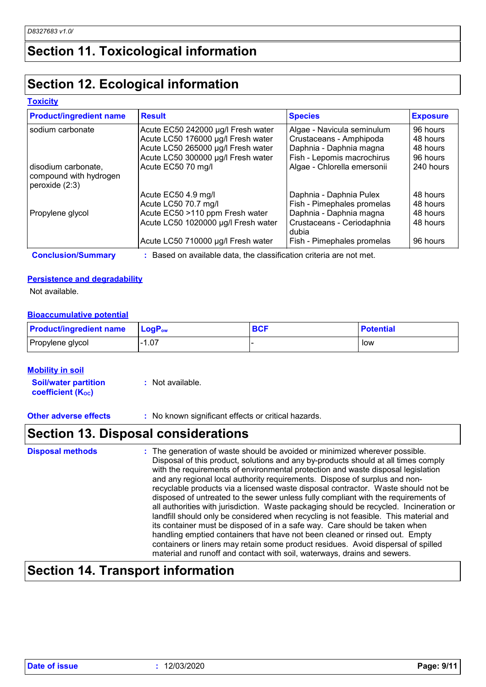## **Section 11. Toxicological information**

## **Section 12. Ecological information**

#### **Toxicity**

| <b>Product/ingredient name</b>                                  | <b>Result</b>                       | <b>Species</b>                      | <b>Exposure</b> |
|-----------------------------------------------------------------|-------------------------------------|-------------------------------------|-----------------|
| sodium carbonate                                                | Acute EC50 242000 µg/l Fresh water  | Algae - Navicula seminulum          | 96 hours        |
|                                                                 | Acute LC50 176000 µg/l Fresh water  | Crustaceans - Amphipoda             | 48 hours        |
|                                                                 | Acute LC50 265000 µg/l Fresh water  | Daphnia - Daphnia magna             | 48 hours        |
|                                                                 | Acute LC50 300000 µg/l Fresh water  | Fish - Lepomis macrochirus          | 96 hours        |
| disodium carbonate,<br>compound with hydrogen<br>peroxide (2:3) | Acute EC50 70 mg/l                  | Algae - Chlorella emersonii         | 240 hours       |
|                                                                 | Acute EC50 4.9 mg/l                 | Daphnia - Daphnia Pulex             | 48 hours        |
|                                                                 | Acute LC50 70.7 mg/l                | Fish - Pimephales promelas          | 48 hours        |
| Propylene glycol                                                | Acute EC50 >110 ppm Fresh water     | Daphnia - Daphnia magna             | 48 hours        |
|                                                                 | Acute LC50 1020000 µg/l Fresh water | Crustaceans - Ceriodaphnia<br>dubia | 48 hours        |
|                                                                 | Acute LC50 710000 µg/l Fresh water  | Fish - Pimephales promelas          | 96 hours        |

**Conclusion/Summary :** Based on available data, the classification criteria are not met.

#### **Persistence and degradability**

Not available.

### **Bioaccumulative potential**

| <b>Product/ingredient name</b> | <b>LogP</b> <sub>ow</sub> | n^I<br>56. | <b>Potential</b> |
|--------------------------------|---------------------------|------------|------------------|
| Propylene glycol               | .07                       |            | low              |

#### **Mobility in soil**

**Soil/water partition coefficient (Koc) :** Not available.

**Other adverse effects** : No known significant effects or critical hazards.

## **Section 13. Disposal considerations**

| <b>Disposal methods</b> | : The generation of waste should be avoided or minimized wherever possible.<br>Disposal of this product, solutions and any by-products should at all times comply<br>with the requirements of environmental protection and waste disposal legislation<br>and any regional local authority requirements. Dispose of surplus and non-<br>recyclable products via a licensed waste disposal contractor. Waste should not be<br>disposed of untreated to the sewer unless fully compliant with the requirements of<br>all authorities with jurisdiction. Waste packaging should be recycled. Incineration or<br>landfill should only be considered when recycling is not feasible. This material and<br>its container must be disposed of in a safe way. Care should be taken when |
|-------------------------|--------------------------------------------------------------------------------------------------------------------------------------------------------------------------------------------------------------------------------------------------------------------------------------------------------------------------------------------------------------------------------------------------------------------------------------------------------------------------------------------------------------------------------------------------------------------------------------------------------------------------------------------------------------------------------------------------------------------------------------------------------------------------------|
|                         | handling emptied containers that have not been cleaned or rinsed out. Empty<br>containers or liners may retain some product residues. Avoid dispersal of spilled<br>material and runoff and contact with soil, waterways, drains and sewers.                                                                                                                                                                                                                                                                                                                                                                                                                                                                                                                                   |

## **Section 14. Transport information**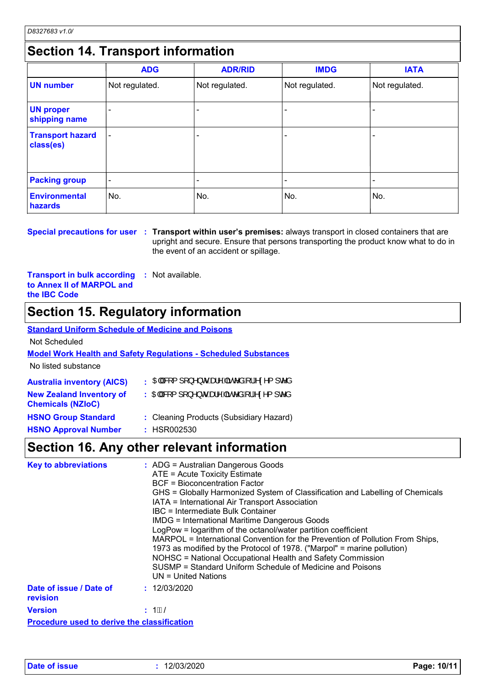## **Section 14. Transport information**

|                                      | <b>ADG</b>               | <b>ADR/RID</b> | <b>IMDG</b>              | <b>IATA</b>              |  |  |  |
|--------------------------------------|--------------------------|----------------|--------------------------|--------------------------|--|--|--|
| <b>UN number</b>                     | Not regulated.           | Not regulated. | Not regulated.           | Not regulated.           |  |  |  |
| <b>UN proper</b><br>shipping name    |                          |                |                          |                          |  |  |  |
| <b>Transport hazard</b><br>class(es) | $\overline{\phantom{a}}$ |                | $\overline{\phantom{0}}$ | $\overline{\phantom{0}}$ |  |  |  |
| <b>Packing group</b>                 | $\overline{\phantom{0}}$ |                | $\overline{\phantom{0}}$ |                          |  |  |  |
| <b>Environmental</b><br>hazards      | No.                      | No.            | No.                      | No.                      |  |  |  |

**Special precautions for user** : Transport within user's premises: always transport in closed containers that are upright and secure. Ensure that persons transporting the product know what to do in the event of an accident or spillage.

**Transport in bulk according to Annex II of MARPOL and the IBC Code :** Not available.

### **Section 15. Regulatory information**

#### **Australia inventory (AICS) : CHASE { ] [ }^}**  $\sigma$  **het**  $\Lambda$  **and**  $\sigma$  **and**  $\Lambda$  **in**  $\sigma$  **and**  $\sigma$  **and**  $\sigma$ **Standard Uniform Schedule of Medicine and Poisons Model Work Health and Safety Regulations - Scheduled Substances** No listed substance Not Scheduled **New Zealand Inventory of Chemicals (NZIoC)** : CHEM<sup>S</sup>RI{][}^} or heat Ana coan a line coan **HSNO Group Standard :** Cleaning Products (Subsidiary Hazard)

**HSNO Approval Number :** HSR002530

### **Section 16. Any other relevant information**

| <b>Key to abbreviations</b>                        | : ADG = Australian Dangerous Goods<br>ATE = Acute Toxicity Estimate<br>BCF = Bioconcentration Factor<br>GHS = Globally Harmonized System of Classification and Labelling of Chemicals<br>IATA = International Air Transport Association<br><b>IBC</b> = Intermediate Bulk Container<br><b>IMDG = International Maritime Dangerous Goods</b><br>LogPow = logarithm of the octanol/water partition coefficient<br>MARPOL = International Convention for the Prevention of Pollution From Ships,<br>1973 as modified by the Protocol of 1978. ("Marpol" = marine pollution)<br>NOHSC = National Occupational Health and Safety Commission<br>SUSMP = Standard Uniform Schedule of Medicine and Poisons<br>$UN = United Nations$ |
|----------------------------------------------------|------------------------------------------------------------------------------------------------------------------------------------------------------------------------------------------------------------------------------------------------------------------------------------------------------------------------------------------------------------------------------------------------------------------------------------------------------------------------------------------------------------------------------------------------------------------------------------------------------------------------------------------------------------------------------------------------------------------------------|
| Date of issue / Date of<br>revision                | : 12/03/2020                                                                                                                                                                                                                                                                                                                                                                                                                                                                                                                                                                                                                                                                                                                 |
| <b>Version</b>                                     | : 1È€S                                                                                                                                                                                                                                                                                                                                                                                                                                                                                                                                                                                                                                                                                                                       |
| <b>Procedure used to derive the classification</b> |                                                                                                                                                                                                                                                                                                                                                                                                                                                                                                                                                                                                                                                                                                                              |